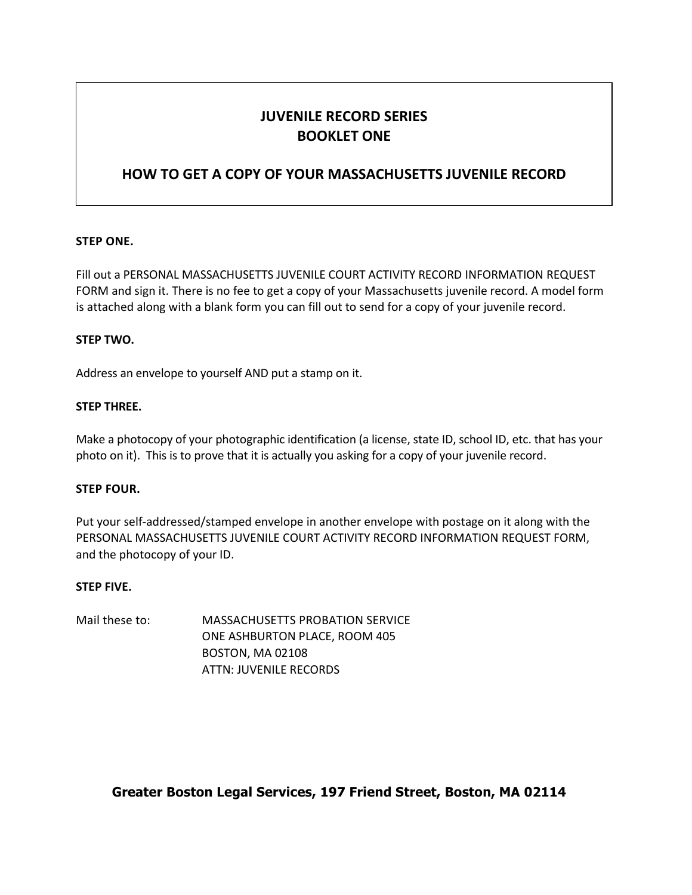## **JUVENILE RECORD SERIES BOOKLET ONE**

### **HOW TO GET A COPY OF YOUR MASSACHUSETTS JUVENILE RECORD**

#### **STEP ONE.**

Fill out a PERSONAL MASSACHUSETTS JUVENILE COURT ACTIVITY RECORD INFORMATION REQUEST FORM and sign it. There is no fee to get a copy of your Massachusetts juvenile record. A model form is attached along with a blank form you can fill out to send for a copy of your juvenile record.

#### **STEP TWO.**

Address an envelope to yourself AND put a stamp on it.

#### **STEP THREE.**

Make a photocopy of your photographic identification (a license, state ID, school ID, etc. that has your photo on it). This is to prove that it is actually you asking for a copy of your juvenile record.

#### **STEP FOUR.**

Put your self-addressed/stamped envelope in another envelope with postage on it along with the PERSONAL MASSACHUSETTS JUVENILE COURT ACTIVITY RECORD INFORMATION REQUEST FORM, and the photocopy of your ID.

#### **STEP FIVE.**

Mail these to: MASSACHUSETTS PROBATION SERVICE ONE ASHBURTON PLACE, ROOM 405 BOSTON, MA 02108 ATTN: JUVENILE RECORDS

**Greater Boston Legal Services, 197 Friend Street, Boston, MA 02114**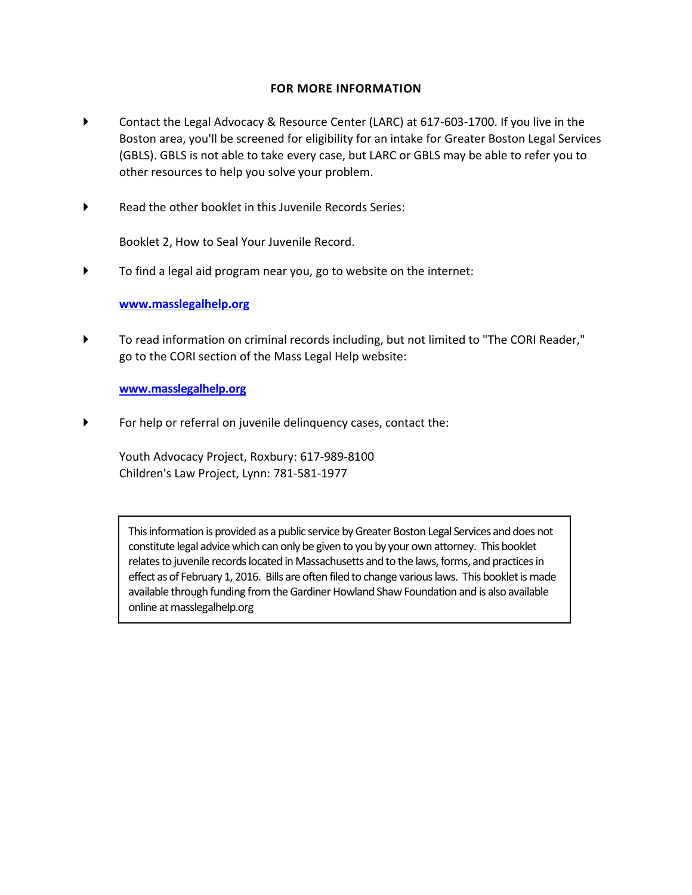#### **FOR MORE INFORMATION**

- Contact the Legal Advocacy & Resource Center (LARC) at 617-603-1700. If you live in the Boston area, you'll be screened for eligibility for an intake for Greater Boston Legal Services (GBLS). GBLS is not able to take every case, but LARC or GBLS may be able to refer you to other resources to help you solve your problem.
- Read the other booklet in this Juvenile Records Series:

Booklet 2, How to Seal Your Juvenile Record.

To find a legal aid program near you, go to website on the internet:

#### **[www.masslegalhelp.org](http://www.masslegalhelp.org/)**

 To read information on criminal records including, but not limited to "The CORI Reader," go to the CORI section of the Mass Legal Help website:

**[www.masslegalhelp.org](http://www.masslegalhelp.org/)**

For help or referral on juvenile delinquency cases, contact the:

Youth Advocacy Project, Roxbury: 617-989-8100 Children's Law Project, Lynn: 781-581-1977

This information is provided as a public service by Greater Boston Legal Services and does not constitute legal advice which can only be given to you by your own attorney. This booklet relates to juvenile records located in Massachusetts and to the laws, forms, and practices in effect as of February 1, 2016. Bills are often filed to change various laws. This booklet is made available through funding from the Gardiner Howland Shaw Foundation and is also available online at masslegalhelp.org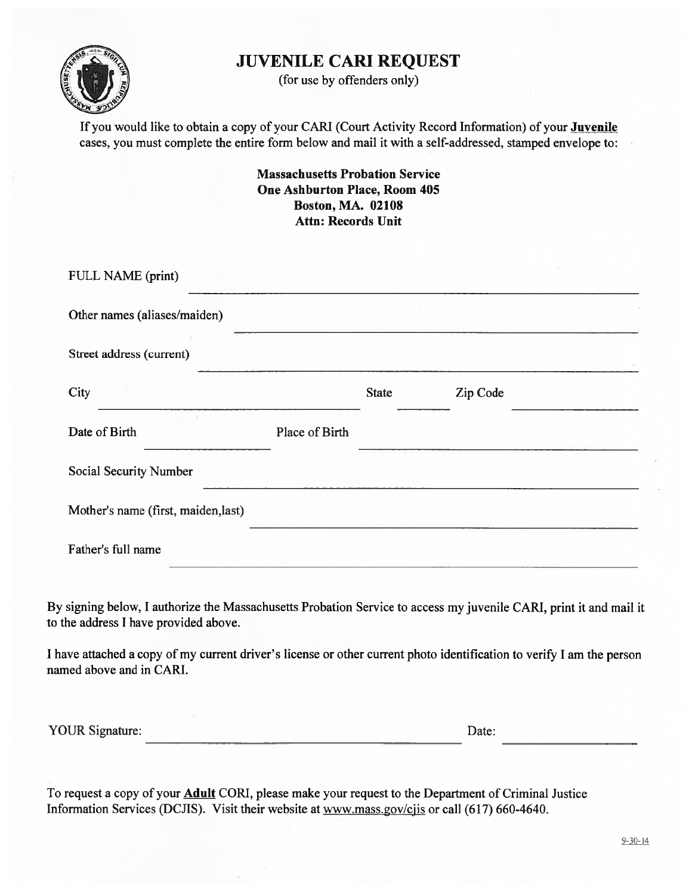## **JUVENILE CARI REQUEST**



(for use by offenders only)

If you would like to obtain a copy of your CARI (Court Activity Record Information) of your Juvenile cases, you must complete the entire form below and mail it with a self-addressed, stamped envelope to:

> **Massachusetts Probation Service One Ashburton Place, Room 405 Boston, MA. 02108 Attn: Records Unit**

| FULL NAME (print)                   |                |              |          |  |
|-------------------------------------|----------------|--------------|----------|--|
| Other names (aliases/maiden)        |                |              |          |  |
| Street address (current)            |                |              |          |  |
| City                                |                | <b>State</b> | Zip Code |  |
| Date of Birth                       | Place of Birth |              |          |  |
| <b>Social Security Number</b>       |                |              |          |  |
| Mother's name (first, maiden, last) |                |              |          |  |
| Father's full name                  |                |              |          |  |

By signing below, I authorize the Massachusetts Probation Service to access my juvenile CARI, print it and mail it to the address I have provided above.

I have attached a copy of my current driver's license or other current photo identification to verify I am the person named above and in CARI.

**YOUR Signature:** 

Date:

To request a copy of your **Adult** CORI, please make your request to the Department of Criminal Justice Information Services (DCJIS). Visit their website at www.mass.gov/cjis or call (617) 660-4640.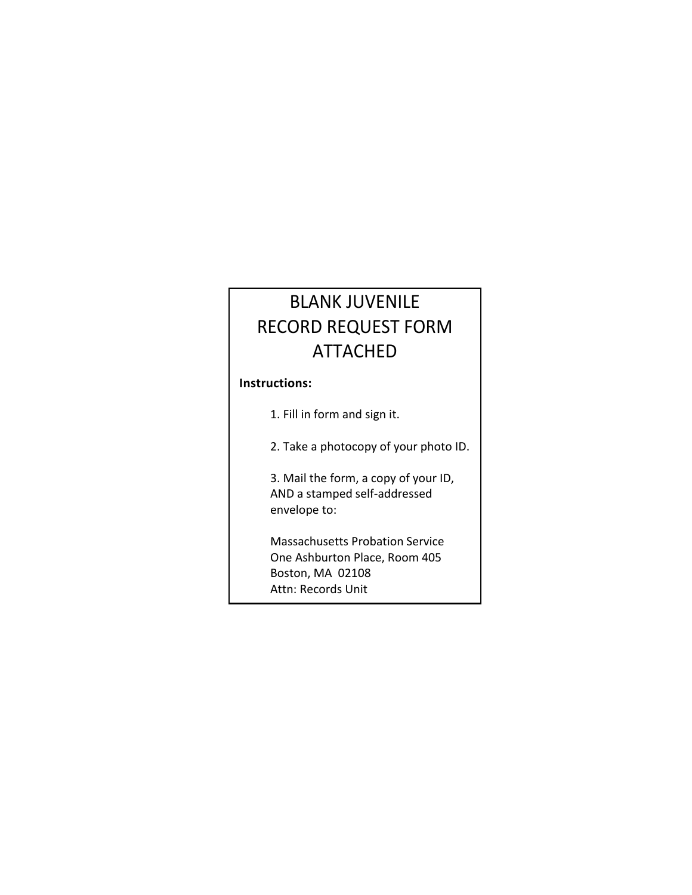# BLANK JUVENILE RECORD REQUEST FORM ATTACHED

#### **Instructions:**

1. Fill in form and sign it.

2. Take a photocopy of your photo ID.

3. Mail the form, a copy of your ID, AND a stamped self-addressed envelope to:

Massachusetts Probation Service One Ashburton Place, Room 405 Boston, MA 02108 Attn: Records Unit